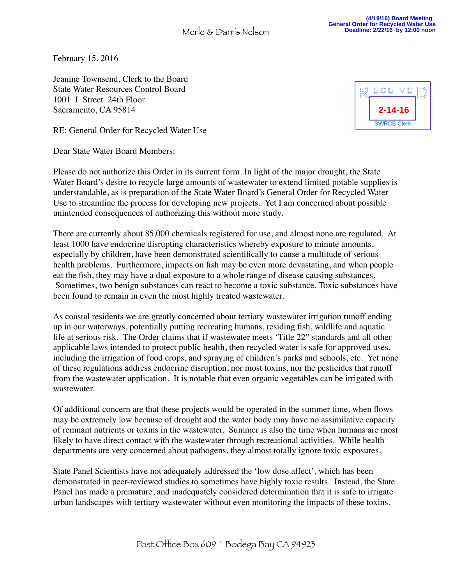February 15, 2016

Jeanine Townsend, Clerk to the Board State Water Resources Control Board 1001 I Street 24th Floor Sacramento, CA 95814

RE: General Order for Recycled Water Use

Dear State Water Board Members:

Please do not authorize this Order in its current form. In light of the major drought, the State Water Board's desire to recycle large amounts of wastewater to extend limited potable supplies is understandable, as is preparation of the State Water Board's General Order for Recycled Water Use to streamline the process for developing new projects. Yet I am concerned about possible unintended consequences of authorizing this without more study.

There are currently about 85,000 chemicals registered for use, and almost none are regulated. At least 1000 have endocrine disrupting characteristics whereby exposure to minute amounts, especially by children, have been demonstrated scientifically to cause a multitude of serious health problems. Furthermore, impacts on fish may be even more devastating, and when people eat the fish, they may have a dual exposure to a whole range of disease causing substances. Sometimes, two benign substances can react to become a toxic substance. Toxic substances have been found to remain in even the most highly treated wastewater.

As coastal residents we are greatly concerned about tertiary wastewater irrigation runoff ending up in our waterways, potentially putting recreating humans, residing fish, wildlife and aquatic life at serious risk. The Order claims that if wastewater meets 'Title 22" standards and all other applicable laws intended to protect public health, then recycled water is safe for approved uses, including the irrigation of food crops, and spraying of children's parks and schools, etc. Yet none of these regulations address endocrine disruption, nor most toxins, nor the pesticides that runoff from the wastewater application. It is notable that even organic vegetables can be irrigated with wastewater.

Of additional concern are that these projects would be operated in the summer time, when flows may be extremely low because of drought and the water body may have no assimilative capacity of remnant nutrients or toxins in the wastewater. Summer is also the time when humans are most likely to have direct contact with the wastewater through recreational activities. While health departments are very concerned about pathogens, they almost totally ignore toxic exposures.

State Panel Scientists have not adequately addressed the 'low dose affect', which has been demonstrated in peer-reviewed studies to sometimes have highly toxic results. Instead, the State Panel has made a premature, and inadequately considered determination that it is safe to irrigate urban landscapes with tertiary wastewater without even monitoring the impacts of these toxins.